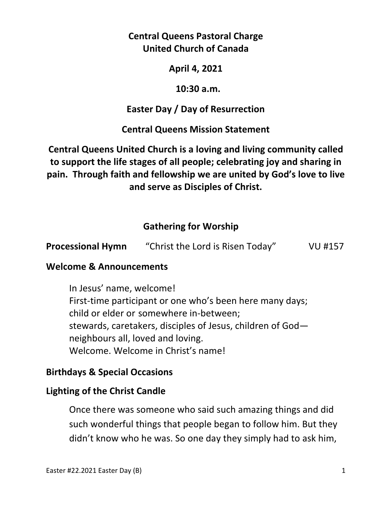# **Central Queens Pastoral Charge United Church of Canada**

## **April 4, 2021**

### **10:30 a.m.**

# **Easter Day / Day of Resurrection**

# **Central Queens Mission Statement**

# **Central Queens United Church is a loving and living community called to support the life stages of all people; celebrating joy and sharing in pain. Through faith and fellowship we are united by God's love to live and serve as Disciples of Christ.**

# **Gathering for Worship**

| <b>Processional Hymn</b> | "Christ the Lord is Risen Today" | VU #157 |
|--------------------------|----------------------------------|---------|
|                          |                                  |         |

## **Welcome & Announcements**

In Jesus' name, welcome! First-time participant or one who's been here many days; child or elder or somewhere in-between; stewards, caretakers, disciples of Jesus, children of God neighbours all, loved and loving. Welcome. Welcome in Christ's name!

# **Birthdays & Special Occasions**

## **Lighting of the Christ Candle**

Once there was someone who said such amazing things and did such wonderful things that people began to follow him. But they didn't know who he was. So one day they simply had to ask him,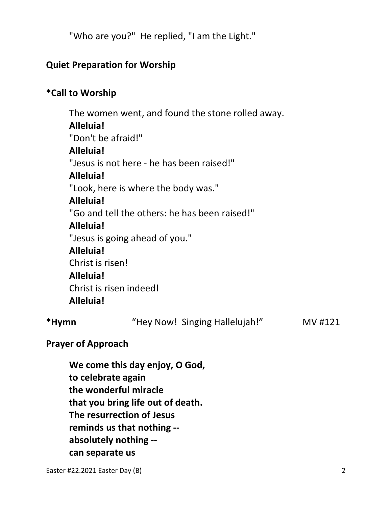"Who are you?" He replied, "I am the Light."

# **Quiet Preparation for Worship**

# **\*Call to Worship**

 The women went, and found the stone rolled away. **Alleluia!**  "Don't be afraid!" **Alleluia!**  "Jesus is not here - he has been raised!" **Alleluia!**  "Look, here is where the body was." **Alleluia!**  "Go and tell the others: he has been raised!" **Alleluia!**  "Jesus is going ahead of you." **Alleluia!**  Christ is risen! **Alleluia!**  Christ is risen indeed! **Alleluia! \*Hymn** "Hey Now! Singing Hallelujah!" MV #121

# **Prayer of Approach**

 **We come this day enjoy, O God, to celebrate again the wonderful miracle that you bring life out of death. The resurrection of Jesus reminds us that nothing - absolutely nothing - can separate us**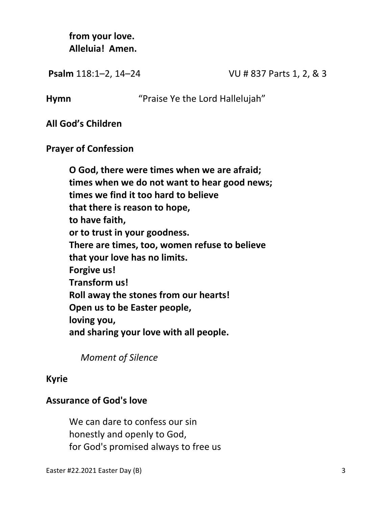**from your love. Alleluia! Amen.** 

**Psalm** 118:1-2, 14-24 VU # 837 Parts 1, 2, & 3

**Hymn** "Praise Ye the Lord Hallelujah"

**All God's Children** 

**Prayer of Confession** 

**O God, there were times when we are afraid; times when we do not want to hear good news; times we find it too hard to believe that there is reason to hope, to have faith, or to trust in your goodness. There are times, too, women refuse to believe that your love has no limits. Forgive us! Transform us! Roll away the stones from our hearts! Open us to be Easter people, loving you, and sharing your love with all people.** 

 *Moment of Silence* 

#### **Kyrie**

## **Assurance of God's love**

We can dare to confess our sin honestly and openly to God, for God's promised always to free us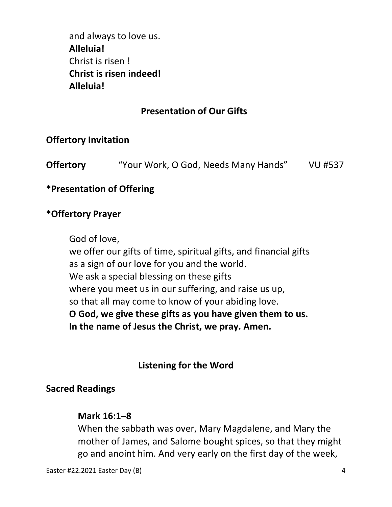and always to love us. **Alleluia!**  Christ is risen ! **Christ is risen indeed! Alleluia!** 

# **Presentation of Our Gifts**

## **Offertory Invitation**

**Offertory** "Your Work, O God, Needs Many Hands" VU #537

### **\*Presentation of Offering**

#### **\*Offertory Prayer**

God of love,

 we offer our gifts of time, spiritual gifts, and financial gifts as a sign of our love for you and the world. We ask a special blessing on these gifts where you meet us in our suffering, and raise us up, so that all may come to know of your abiding love. **O God, we give these gifts as you have given them to us. In the name of Jesus the Christ, we pray. Amen.**

## **Listening for the Word**

#### **Sacred Readings**

#### **Mark 16:1–8**

When the sabbath was over, Mary Magdalene, and Mary the mother of James, and Salome bought spices, so that they might go and anoint him. And very early on the first day of the week,

Easter #22.2021 Easter Day (B) 4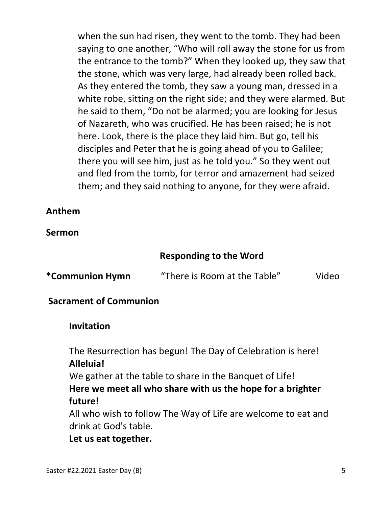when the sun had risen, they went to the tomb. They had been saying to one another, "Who will roll away the stone for us from the entrance to the tomb?" When they looked up, they saw that the stone, which was very large, had already been rolled back. As they entered the tomb, they saw a young man, dressed in a white robe, sitting on the right side; and they were alarmed. But he said to them, "Do not be alarmed; you are looking for Jesus of Nazareth, who was crucified. He has been raised; he is not here. Look, there is the place they laid him. But go, tell his disciples and Peter that he is going ahead of you to Galilee; there you will see him, just as he told you." So they went out and fled from the tomb, for terror and amazement had seized them; and they said nothing to anyone, for they were afraid.

## **Anthem**

## **Sermon**

# **Responding to the Word**

| *Communion Hymn | "There is Room at the Table" | Video |
|-----------------|------------------------------|-------|
|-----------------|------------------------------|-------|

#### **Sacrament of Communion**

#### **Invitation**

 The Resurrection has begun! The Day of Celebration is here!  **Alleluia!**

 We gather at the table to share in the Banquet of Life!  **Here we meet all who share with us the hope for a brighter future!**

 All who wish to follow The Way of Life are welcome to eat and drink at God's table.

 **Let us eat together.**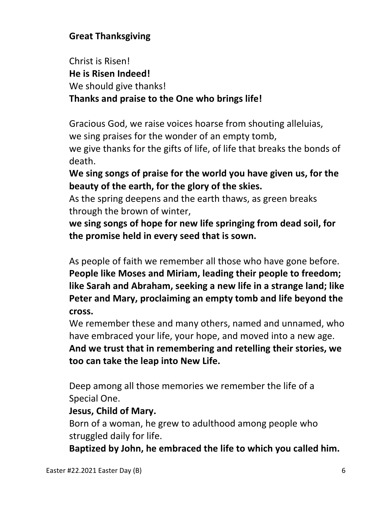# **Great Thanksgiving**

 Christ is Risen!  **He is Risen Indeed!** We should give thanks!  **Thanks and praise to the One who brings life!**

 Gracious God, we raise voices hoarse from shouting alleluias, we sing praises for the wonder of an empty tomb, we give thanks for the gifts of life, of life that breaks the bonds of death.

 **We sing songs of praise for the world you have given us, for the beauty of the earth, for the glory of the skies.**

 As the spring deepens and the earth thaws, as green breaks through the brown of winter,

 **we sing songs of hope for new life springing from dead soil, for the promise held in every seed that is sown.**

 As people of faith we remember all those who have gone before.  **People like Moses and Miriam, leading their people to freedom; like Sarah and Abraham, seeking a new life in a strange land; like Peter and Mary, proclaiming an empty tomb and life beyond the cross.**

 We remember these and many others, named and unnamed, who have embraced your life, your hope, and moved into a new age.  **And we trust that in remembering and retelling their stories, we too can take the leap into New Life.**

 Deep among all those memories we remember the life of a Special One.

## **Jesus, Child of Mary.**

 Born of a woman, he grew to adulthood among people who struggled daily for life.

 **Baptized by John, he embraced the life to which you called him.**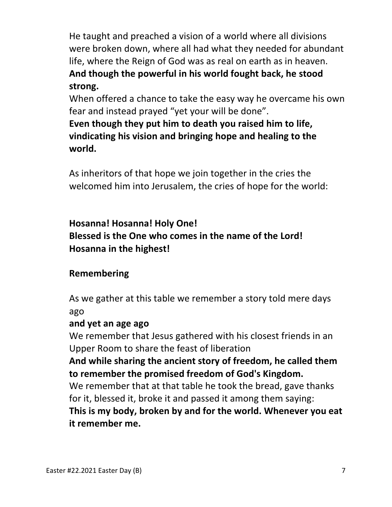He taught and preached a vision of a world where all divisions were broken down, where all had what they needed for abundant life, where the Reign of God was as real on earth as in heaven.  **And though the powerful in his world fought back, he stood strong.** 

 When offered a chance to take the easy way he overcame his own fear and instead prayed "yet your will be done".

 **Even though they put him to death you raised him to life, vindicating his vision and bringing hope and healing to the world.**

 As inheritors of that hope we join together in the cries the welcomed him into Jerusalem, the cries of hope for the world:

 **Hosanna! Hosanna! Holy One! Blessed is the One who comes in the name of the Lord! Hosanna in the highest!**

# **Remembering**

 As we gather at this table we remember a story told mere days ago

## **and yet an age ago**

 We remember that Jesus gathered with his closest friends in an Upper Room to share the feast of liberation

 **And while sharing the ancient story of freedom, he called them to remember the promised freedom of God's Kingdom.**

 We remember that at that table he took the bread, gave thanks for it, blessed it, broke it and passed it among them saying:

 **This is my body, broken by and for the world. Whenever you eat it remember me.**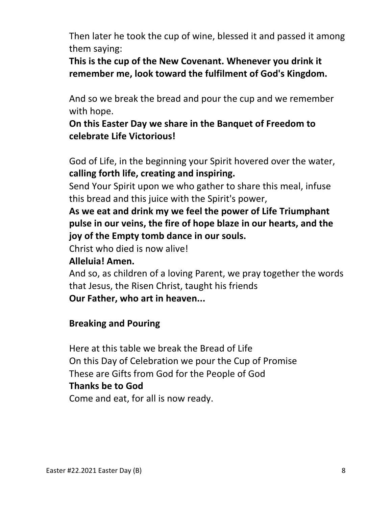Then later he took the cup of wine, blessed it and passed it among them saying:

 **This is the cup of the New Covenant. Whenever you drink it remember me, look toward the fulfilment of God's Kingdom.**

 And so we break the bread and pour the cup and we remember with hope.

 **On this Easter Day we share in the Banquet of Freedom to celebrate Life Victorious!**

God of Life, in the beginning your Spirit hovered over the water, **calling forth life, creating and inspiring.**

 Send Your Spirit upon we who gather to share this meal, infuse this bread and this juice with the Spirit's power,

 **As we eat and drink my we feel the power of Life Triumphant pulse in our veins, the fire of hope blaze in our hearts, and the joy of the Empty tomb dance in our souls.**

Christ who died is now alive!

## **Alleluia! Amen.**

 And so, as children of a loving Parent, we pray together the words that Jesus, the Risen Christ, taught his friends  **Our Father, who art in heaven...**

## **Breaking and Pouring**

 Here at this table we break the Bread of Life On this Day of Celebration we pour the Cup of Promise These are Gifts from God for the People of God  **Thanks be to God** Come and eat, for all is now ready.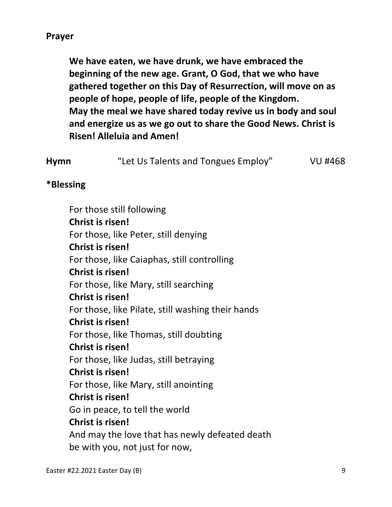**We have eaten, we have drunk, we have embraced the beginning of the new age. Grant, O God, that we who have gathered together on this Day of Resurrection, will move on as people of hope, people of life, people of the Kingdom. May the meal we have shared today revive us in body and soul and energize us as we go out to share the Good News. Christ is Risen! Alleluia and Amen!**

| <b>Hymn</b> | "Let Us Talents and Tongues Employ" | <b>VU #468</b> |
|-------------|-------------------------------------|----------------|
|             |                                     |                |

#### **\*Blessing**

For those still following **Christ is risen!**  For those, like Peter, still denying **Christ is risen!**  For those, like Caiaphas, still controlling **Christ is risen!**  For those, like Mary, still searching **Christ is risen!**  For those, like Pilate, still washing their hands **Christ is risen!**  For those, like Thomas, still doubting **Christ is risen!**  For those, like Judas, still betraying **Christ is risen!**  For those, like Mary, still anointing **Christ is risen!**  Go in peace, to tell the world **Christ is risen!**  And may the love that has newly defeated death be with you, not just for now,